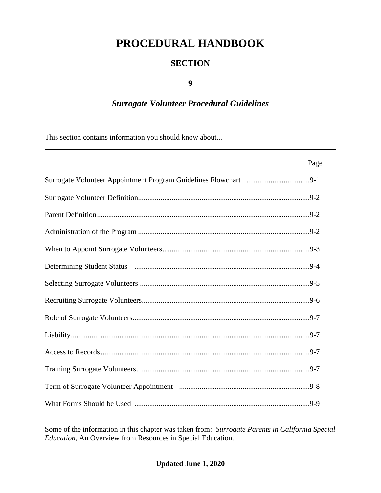# **PROCEDURAL HANDBOOK**

#### **SECTION**

#### **9**

### *Surrogate Volunteer Procedural Guidelines*

This section contains information you should know about...

| Page |  |
|------|--|
|      |  |
|      |  |
|      |  |
|      |  |
|      |  |
|      |  |
|      |  |
|      |  |
|      |  |
|      |  |
|      |  |
|      |  |
|      |  |
|      |  |

Some of the information in this chapter was taken from: *Surrogate Parents in California Special Education,* An Overview from Resources in Special Education.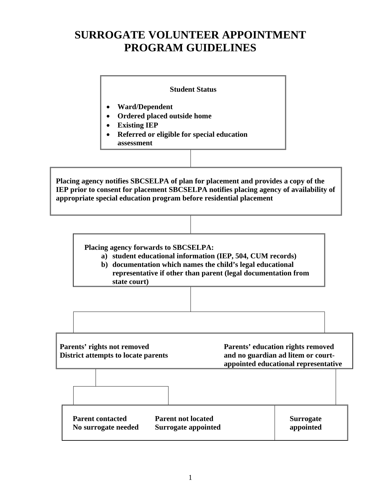## **SURROGATE VOLUNTEER APPOINTMENT PROGRAM GUIDELINES**

#### **Student Status**

- **Ward/Dependent**
- **Ordered placed outside home**
- **Existing IEP**
- **Referred or eligible for special education assessment**

**Placing agency notifies SBCSELPA of plan for placement and provides a copy of the IEP prior to consent for placement SBCSELPA notifies placing agency of availability of appropriate special education program before residential placement**

**Placing agency forwards to SBCSELPA:**

- **a) student educational information (IEP, 504, CUM records)**
- **b) documentation which names the child's legal educational representative if other than parent (legal documentation from state court)**

**Parents' rights not removed Parents' education rights removed District attempts to locate parents and no guardian ad litem or courtappointed educational representative**

**Parent contacted Parent not located No surrogate needed Surrogate appointed Surrogate appointed**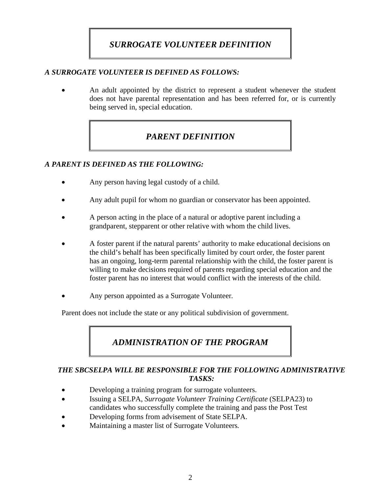### *SURROGATE VOLUNTEER DEFINITION*

#### *A SURROGATE VOLUNTEER IS DEFINED AS FOLLOWS:*

• An adult appointed by the district to represent a student whenever the student does not have parental representation and has been referred for, or is currently being served in, special education.

### *PARENT DEFINITION*

#### *A PARENT IS DEFINED AS THE FOLLOWING:*

- Any person having legal custody of a child.
- Any adult pupil for whom no guardian or conservator has been appointed.
- A person acting in the place of a natural or adoptive parent including a grandparent, stepparent or other relative with whom the child lives.
- A foster parent if the natural parents' authority to make educational decisions on the child's behalf has been specifically limited by court order, the foster parent has an ongoing, long-term parental relationship with the child, the foster parent is willing to make decisions required of parents regarding special education and the foster parent has no interest that would conflict with the interests of the child.
- Any person appointed as a Surrogate Volunteer*.*

Parent does not include the state or any political subdivision of government.

### *ADMINISTRATION OF THE PROGRAM*

#### *THE SBCSELPA WILL BE RESPONSIBLE FOR THE FOLLOWING ADMINISTRATIVE TASKS:*

- Developing a training program for surrogate volunteers.
- Issuing a SELPA, *Surrogate Volunteer Training Certificate* (SELPA23) to candidates who successfully complete the training and pass the Post Test
- Developing forms from advisement of State SELPA.
- Maintaining a master list of Surrogate Volunteers*.*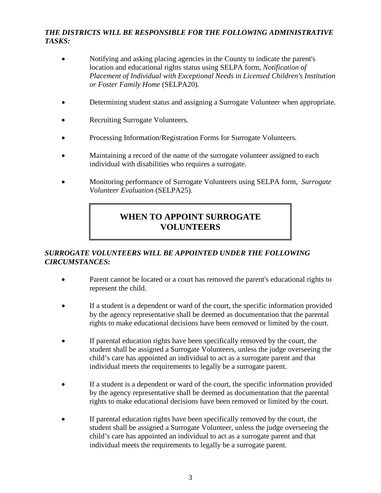#### *THE DISTRICTS WILL BE RESPONSIBLE FOR THE FOLLOWING ADMINISTRATIVE TASKS:*

- Notifying and asking placing agencies in the County to indicate the parent's location and educational rights status using SELPA form, *Notification of Placement of Individual with Exceptional Needs in Licensed Children's Institution or Foster Family Home* (SELPA20).
- Determining student status and assigning a Surrogate Volunteer when appropriate.
- Recruiting Surrogate Volunteers*.*
- Processing Information/Registration Forms for Surrogate Volunteers*.*
- Maintaining a record of the name of the surrogate volunteer assigned to each individual with disabilities who requires a surrogate.
- Monitoring performance of Surrogate Volunteers using SELPA form, *Surrogate Volunteer Evaluation* (SELPA25).

### **WHEN TO APPOINT SURROGATE VOLUNTEERS**

#### *SURROGATE VOLUNTEERS WILL BE APPOINTED UNDER THE FOLLOWING CIRCUMSTANCES:*

- Parent cannot be located or a court has removed the parent's educational rights to represent the child.
- If a student is a dependent or ward of the court, the specific information provided by the agency representative shall be deemed as documentation that the parental rights to make educational decisions have been removed or limited by the court.
- If parental education rights have been specifically removed by the court, the student shall be assigned a Surrogate Volunteers*,* unless the judge overseeing the child's care has appointed an individual to act as a surrogate parent and that individual meets the requirements to legally be a surrogate parent.
- If a student is a dependent or ward of the court, the specific information provided by the agency representative shall be deemed as documentation that the parental rights to make educational decisions have been removed or limited by the court.
- If parental education rights have been specifically removed by the court, the student shall be assigned a Surrogate Volunteer, unless the judge overseeing the child's care has appointed an individual to act as a surrogate parent and that individual meets the requirements to legally be a surrogate parent.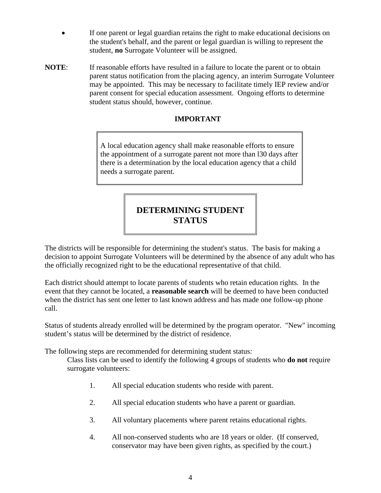- If one parent or legal guardian retains the right to make educational decisions on the student's behalf, and the parent or legal guardian is willing to represent the student, **no** Surrogate Volunteer will be assigned.
- **NOTE:** If reasonable efforts have resulted in a failure to locate the parent or to obtain parent status notification from the placing agency, an interim Surrogate Volunteer may be appointed. This may be necessary to facilitate timely IEP review and/or parent consent for special education assessment. Ongoing efforts to determine student status should, however, continue.

#### **IMPORTANT**

A local education agency shall make reasonable efforts to ensure the appointment of a surrogate parent not more than l30 days after there is a determination by the local education agency that a child needs a surrogate parent.

### **DETERMINING STUDENT STATUS**

The districts will be responsible for determining the student's status. The basis for making a decision to appoint Surrogate Volunteers will be determined by the absence of any adult who has the officially recognized right to be the educational representative of that child.

Each district should attempt to locate parents of students who retain education rights*.* In the event that they cannot be located, a **reasonable search** will be deemed to have been conducted when the district has sent one letter to last known address and has made one follow-up phone call.

Status of students already enrolled will be determined by the program operator. "New" incoming student's status will be determined by the district of residence.

The following steps are recommended for determining student status*:*

Class lists can be used to identify the following 4 groups of students who **do not** require surrogate volunteers:

- 1. All special education students who reside with parent.
- 2. All special education students who have a parent or guardian.
- 3. All voluntary placements where parent retains educational rights.
- 4. All non-conserved students who are 18 years or older. (If conserved, conservator may have been given rights, as specified by the court.)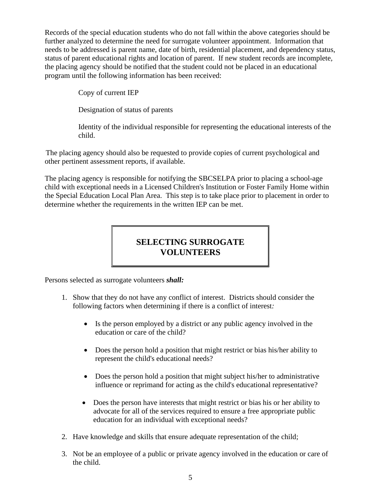Records of the special education students who do not fall within the above categories should be further analyzed to determine the need for surrogate volunteer appointment. Information that needs to be addressed is parent name, date of birth, residential placement, and dependency status, status of parent educational rights and location of parent. If new student records are incomplete*,* the placing agency should be notified that the student could not be placed in an educational program until the following information has been received:

Copy of current IEP

Designation of status of parents

Identity of the individual responsible for representing the educational interests of the child.

The placing agency should also be requested to provide copies of current psychological and other pertinent assessment reports, if available.

The placing agency is responsible for notifying the SBCSELPA prior to placing a school-age child with exceptional needs in a Licensed Children's Institution or Foster Family Home within the Special Education Local Plan Area. This step is to take place prior to placement in order to determine whether the requirements in the written IEP can be met.

### **SELECTING SURROGATE VOLUNTEERS**

Persons selected as surrogate volunteers *shall:* 

- 1. Show that they do not have any conflict of interest. Districts should consider the following factors when determining if there is a conflict of interest*:*
	- Is the person employed by a district or any public agency involved in the education or care of the child?
	- Does the person hold a position that might restrict or bias his/her ability to represent the child's educational needs?
	- Does the person hold a position that might subject his/her to administrative influence or reprimand for acting as the child's educational representative?
	- Does the person have interests that might restrict or bias his or her ability to advocate for all of the services required to ensure a free appropriate public education for an individual with exceptional needs?
- 2. Have knowledge and skills that ensure adequate representation of the child;
- 3. Not be an employee of a public or private agency involved in the education or care of the child.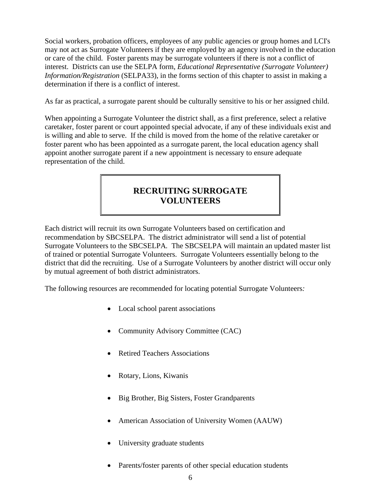Social workers, probation officers, employees of any public agencies or group homes and LCI's may not act as Surrogate Volunteers if they are employed by an agency involved in the education or care of the child. Foster parents may be surrogate volunteers if there is not a conflict of interest. Districts can use the SELPA form, *Educational Representative (Surrogate Volunteer) Information/Registration* (SELPA33), in the forms section of this chapter to assist in making a determination if there is a conflict of interest.

As far as practical, a surrogate parent should be culturally sensitive to his or her assigned child.

When appointing a Surrogate Volunteer the district shall, as a first preference, select a relative caretaker, foster parent or court appointed special advocate, if any of these individuals exist and is willing and able to serve. If the child is moved from the home of the relative caretaker or foster parent who has been appointed as a surrogate parent, the local education agency shall appoint another surrogate parent if a new appointment is necessary to ensure adequate representation of the child.

### **RECRUITING SURROGATE VOLUNTEERS**

Each district will recruit its own Surrogate Volunteers based on certification and recommendation by SBCSELPA. The district administrator will send a list of potential Surrogate Volunteers to the SBCSELPA*.* The SBCSELPA will maintain an updated master list of trained or potential Surrogate Volunteers. Surrogate Volunteers essentially belong to the district that did the recruiting. Use of a Surrogate Volunteers by another district will occur only by mutual agreement of both district administrators.

The following resources are recommended for locating potential Surrogate Volunteers*:*

- Local school parent associations
- Community Advisory Committee (CAC)
- Retired Teachers Associations
- Rotary, Lions, Kiwanis
- Big Brother, Big Sisters, Foster Grandparents
- American Association of University Women (AAUW)
- University graduate students
- Parents/foster parents of other special education students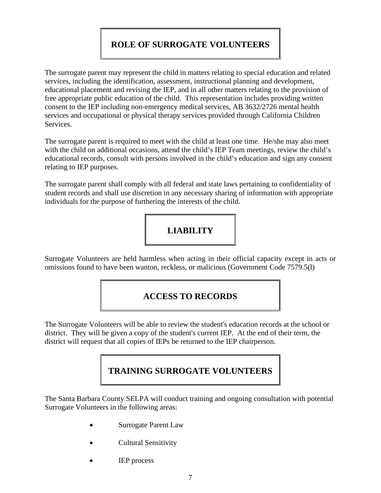## **ROLE OF SURROGATE VOLUNTEERS**

The surrogate parent may represent the child in matters relating to special education and related services, including the identification, assessment, instructional planning and development, educational placement and revising the IEP, and in all other matters relating to the provision of free appropriate public education of the child. This representation includes providing written consent to the IEP including non-emergency medical services, AB 3632/2726 mental health services and occupational or physical therapy services provided through California Children Services.

The surrogate parent is required to meet with the child at least one time. He/she may also meet with the child on additional occasions, attend the child's IEP Team meetings, review the child's educational records, consult with persons involved in the child's education and sign any consent relating to IEP purposes.

The surrogate parent shall comply with all federal and state laws pertaining to confidentiality of student records and shall use discretion in any necessary sharing of information with appropriate individuals for the purpose of furthering the interests of the child.



Surrogate Volunteers are held harmless when acting in their official capacity except in acts or omissions found to have been wanton, reckless, or malicious (Government Code 7579.5(l)

#### **ACCESS TO RECORDS**

The Surrogate Volunteers will be able to review the student's education records at the school or district. They will be given a copy of the student's current IEP. At the end of their term, the district will request that all copies of IEPs be returned to the IEP chairperson.

### **TRAINING SURROGATE VOLUNTEERS**

The Santa Barbara County SELPA will conduct training and ongoing consultation with potential Surrogate Volunteers in the following areas:

- Surrogate Parent Law
- Cultural Sensitivity
- **IEP** process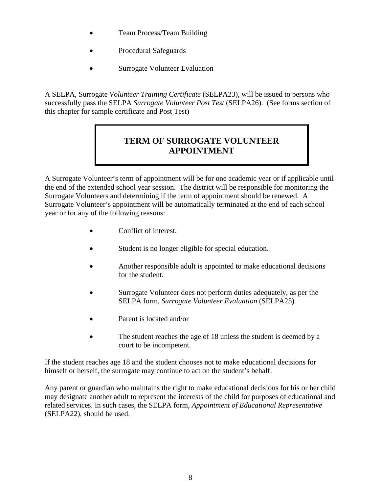- Team Process/Team Building
- Procedural Safeguards
- **Surrogate Volunteer Evaluation**

A SELPA, Surrogate *Volunteer Training Certificate* (SELPA23), will be issued to persons who successfully pass the SELPA *Surrogate Volunteer Post Test* (SELPA26). (See forms section of this chapter for sample certificate and Post Test)

### **TERM OF SURROGATE VOLUNTEER APPOINTMENT**

A Surrogate Volunteer's term of appointment will be for one academic year or if applicable until the end of the extended school year session. The district will be responsible for monitoring the Surrogate Volunteers and determining if the term of appointment should be renewed. A Surrogate Volunteer's appointment will be automatically terminated at the end of each school year or for any of the following reasons:

- Conflict of interest.
- Student is no longer eligible for special education.
- Another responsible adult is appointed to make educational decisions for the student.
- Surrogate Volunteer does not perform duties adequately, as per the SELPA form, *Surrogate Volunteer Evaluation* (SELPA25)*.*
- Parent is located and/or
- The student reaches the age of 18 unless the student is deemed by a court to be incompetent.

If the student reaches age 18 and the student chooses not to make educational decisions for himself or herself, the surrogate may continue to act on the student's behalf.

Any parent or guardian who maintains the right to make educational decisions for his or her child may designate another adult to represent the interests of the child for purposes of educational and related services. In such cases, the SELPA form, *Appointment of Educational Representative* (SELPA22), should be used.